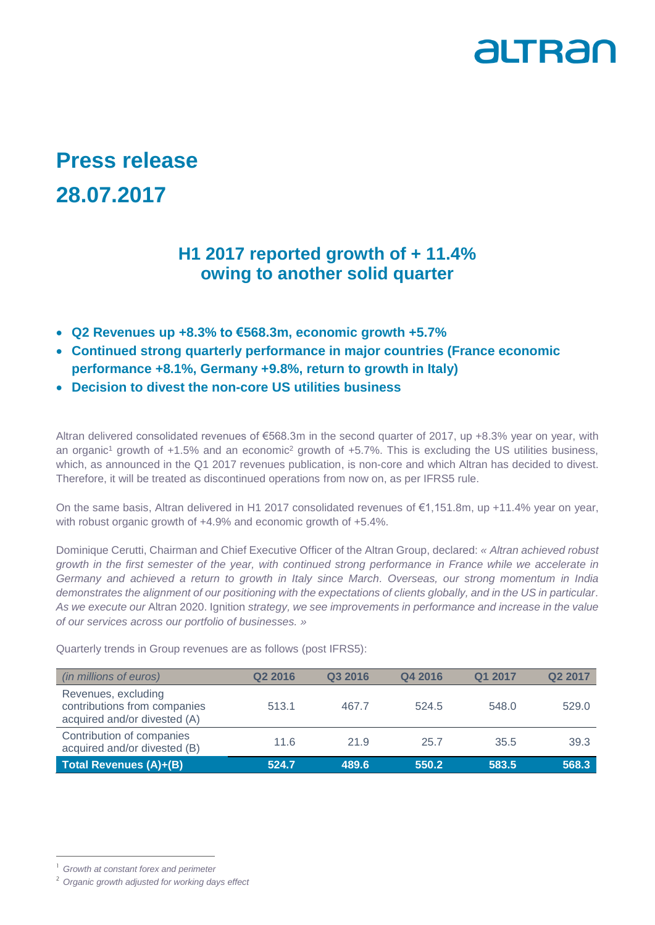

## **Press release 28.07.2017**

## **H1 2017 reported growth of + 11.4% owing to another solid quarter**

- **Q2 Revenues up +8.3% to €568.3m, economic growth +5.7%**
- **Continued strong quarterly performance in major countries (France economic performance +8.1%, Germany +9.8%, return to growth in Italy)**
- **Decision to divest the non-core US utilities business**

Altran delivered consolidated revenues of €568.3m in the second quarter of 2017, up +8.3% year on year, with an organic<sup>1</sup> growth of +1.5% and an economic<sup>2</sup> growth of +5.7%. This is excluding the US utilities business, which, as announced in the Q1 2017 revenues publication, is non-core and which Altran has decided to divest. Therefore, it will be treated as discontinued operations from now on, as per IFRS5 rule.

On the same basis, Altran delivered in H1 2017 consolidated revenues of €1,151.8m, up +11.4% year on year, with robust organic growth of +4.9% and economic growth of +5.4%.

Dominique Cerutti, Chairman and Chief Executive Officer of the Altran Group, declared: *« Altran achieved robust growth in the first semester of the year, with continued strong performance in France while we accelerate in Germany and achieved a return to growth in Italy since March. Overseas, our strong momentum in India demonstrates the alignment of our positioning with the expectations of clients globally, and in the US in particular. As we execute our* Altran 2020. Ignition *strategy, we see improvements in performance and increase in the value of our services across our portfolio of businesses. »*

Quarterly trends in Group revenues are as follows (post IFRS5):

| (in millions of euros)                                                              | Q <sub>2</sub> 2016 | Q3 2016 | Q4 2016 | Q1 2017 | Q <sub>2</sub> 2017 |
|-------------------------------------------------------------------------------------|---------------------|---------|---------|---------|---------------------|
| Revenues, excluding<br>contributions from companies<br>acquired and/or divested (A) | 513.1               | 467.7   | 524.5   | 548.0   | 529.0               |
| Contribution of companies<br>acquired and/or divested (B)                           | 11.6                | 21.9    | 25.7    | 35.5    | 39.3                |
| Total Revenues (A)+(B)                                                              | 524.7               | 489.6   | 550.2   | 583.5   | 568.3               |

-

<sup>1</sup> *Growth at constant forex and perimeter*

<sup>2</sup> *Organic growth adjusted for working days effect*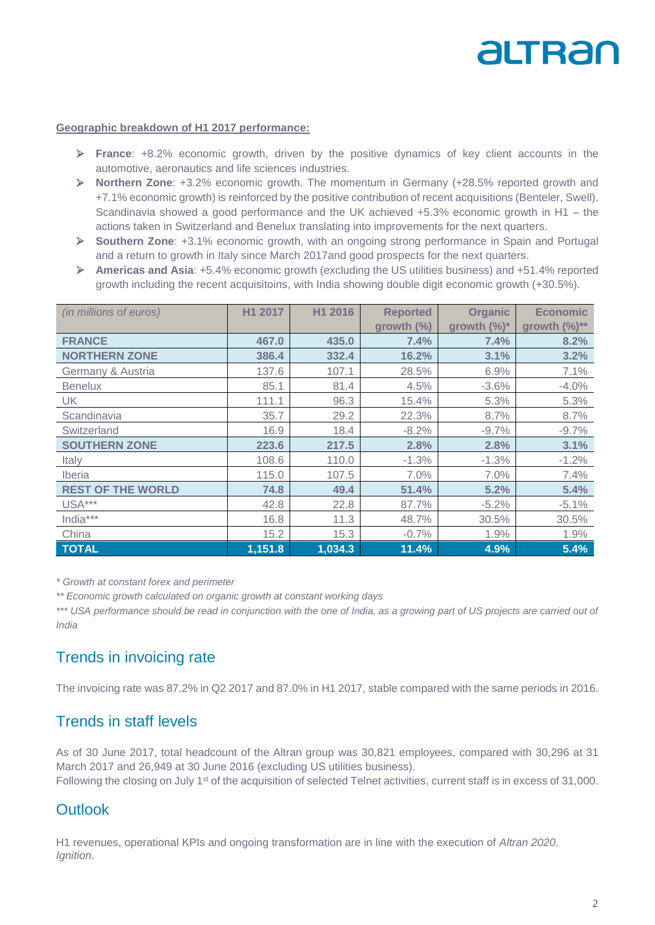# altran

#### **Geographic breakdown of H1 2017 performance:**

- **France**: +8.2% economic growth, driven by the positive dynamics of key client accounts in the automotive, aeronautics and life sciences industries.
- **Northern Zone**: +3.2% economic growth. The momentum in Germany (+28.5% reported growth and +7.1% economic growth) is reinforced by the positive contribution of recent acquisitions (Benteler, Swell). Scandinavia showed a good performance and the UK achieved +5.3% economic growth in H1 – the actions taken in Switzerland and Benelux translating into improvements for the next quarters.
- **Southern Zone**: +3.1% economic growth, with an ongoing strong performance in Spain and Portugal and a return to growth in Italy since March 2017and good prospects for the next quarters.
- **Americas and Asia**: +5.4% economic growth (excluding the US utilities business) and +51.4% reported growth including the recent acquisitoins, with India showing double digit economic growth (+30.5%).

| (in millions of euros)   | H1 2017 | H1 2016 | <b>Reported</b> | <b>Organic</b> | <b>Economic</b>    |
|--------------------------|---------|---------|-----------------|----------------|--------------------|
|                          |         |         | growth (%)      | growth (%)*    | growth $(\%)^{**}$ |
| <b>FRANCE</b>            | 467.0   | 435.0   | 7.4%            | 7.4%           | 8.2%               |
| <b>NORTHERN ZONE</b>     | 386.4   | 332.4   | 16.2%           | 3.1%           | 3.2%               |
| Germany & Austria        | 137.6   | 107.1   | 28.5%           | 6.9%           | 7.1%               |
| <b>Benelux</b>           | 85.1    | 81.4    | 4.5%            | $-3.6%$        | $-4.0%$            |
| <b>UK</b>                | 111.1   | 96.3    | 15.4%           | 5.3%           | 5.3%               |
| Scandinavia              | 35.7    | 29.2    | 22.3%           | 8.7%           | 8.7%               |
| Switzerland              | 16.9    | 18.4    | $-8.2%$         | $-9.7%$        | $-9.7%$            |
| <b>SOUTHERN ZONE</b>     | 223.6   | 217.5   | 2.8%            | 2.8%           | 3.1%               |
| Italy                    | 108.6   | 110.0   | $-1.3%$         | $-1.3%$        | $-1.2%$            |
| <i><b>Iberia</b></i>     | 115.0   | 107.5   | 7.0%            | 7.0%           | 7.4%               |
| <b>REST OF THE WORLD</b> | 74.8    | 49.4    | 51.4%           | 5.2%           | 5.4%               |
| USA***                   | 42.8    | 22.8    | 87.7%           | $-5.2%$        | $-5.1%$            |
| India***                 | 16.8    | 11.3    | 48.7%           | 30.5%          | 30.5%              |
| China                    | 15.2    | 15.3    | $-0.7%$         | 1.9%           | 1.9%               |
| <b>TOTAL</b>             | 1,151.8 | 1,034.3 | 11.4%           | 4.9%           | 5.4%               |

*\* Growth at constant forex and perimeter*

*\*\* Economic growth calculated on organic growth at constant working days*

\*\*\* USA performance should be read in conjunction with the one of India, as a growing part of US projects are carried out of *India*

## Trends in invoicing rate

The invoicing rate was 87.2% in Q2 2017 and 87.0% in H1 2017, stable compared with the same periods in 2016.

## Trends in staff levels

As of 30 June 2017, total headcount of the Altran group was 30,821 employees, compared with 30,296 at 31 March 2017 and 26,949 at 30 June 2016 (excluding US utilities business).

Following the closing on July 1<sup>st</sup> of the acquisition of selected Telnet activities, current staff is in excess of 31,000.

## **Outlook**

H1 revenues, operational KPIs and ongoing transformation are in line with the execution of *Altran 2020. Ignition*.